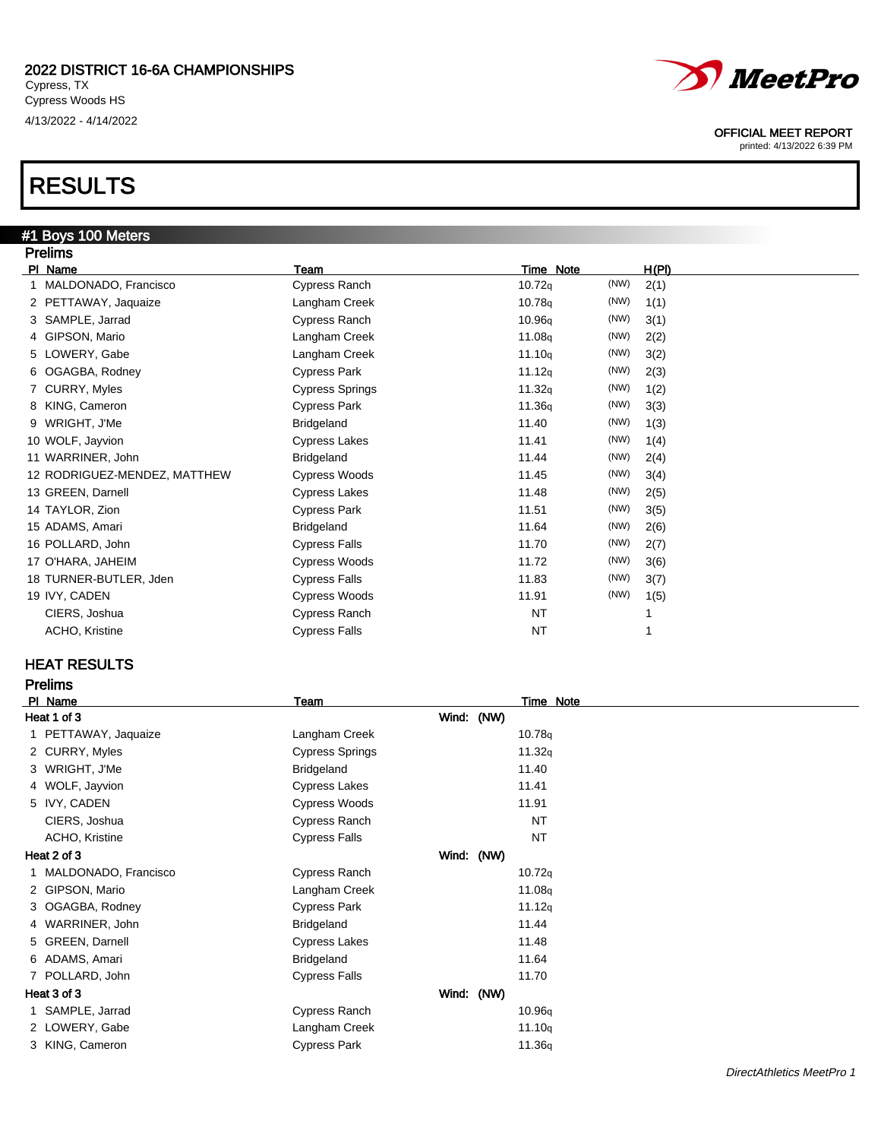

# *MeetPro*

#### OFFICIAL MEET REPORT

printed: 4/13/2022 6:39 PM

### #1 Boys 100 Meters Prelims Pl Name Team Time Note H(Pl) 1 MALDONADO, Francisco Cypress Ranch 10.72q (NW) 2(1) 2 PETTAWAY, Jaquaize **Langham Creek** 10.78q (NW) 1(1) 3 SAMPLE, Jarrad Cypress Ranch 10.96q (NW) 3(1) 4 GIPSON, Mario **11.08q** (NW) 2(2) 5 LOWERY, Gabe Langham Creek 11.10q (NW) 3(2) 6 OGAGBA, Rodney **Cypress Park** Cypress Park 11.12q (NW) 2(3) 7 CURRY, Myles **Cypress Springs** 211.32q (NW) 1(2) 8 KING, Cameron **Cypress Park** 211.36q (NW) 3(3) 9 WRIGHT, J'Me **Bridgeland** Bridgeland **11.40** (NW) 1(3) 10 WOLF, Jayvion **11.41** Cypress Lakes 11.41 (NW) 1(4) 11 WARRINER, John Bridgeland Bridgeland 11.44 (NW) 2(4) 12 RODRIGUEZ-MENDEZ, MATTHEW Cypress Woods 11.45 (NW) 3(4) 13 GREEN, Darnell **11.48** (NW) 2(5) Cypress Lakes 11.48 (NW) 2(5) 14 TAYLOR, Zion **Cypress Park** Cypress Park 11.51 (NW) 3(5) 15 ADAMS, Amari Bridgeland 11.64 (NW) 2(6) 16 POLLARD, John Cypress Falls 11.70 (NW) 2(7) 17 O'HARA, JAHEIM **Cypress Woods** Cypress Woods 11.72 (NW) 3(6) 18 TURNER-BUTLER, Jden Current Cypress Falls 11.83 (NW) 3(7) 19 IVY, CADEN Cypress Woods 11.91 (NW) 1(5) CIERS, Joshua **Cypress Ranch** Cypress Ranch NT 1 ACHO, Kristine **National Action Cypress Falls** NT **NT** 2

## HEAT RESULTS

Prelims

|                           | PI Name                | Team                   | Time Note |  |  |
|---------------------------|------------------------|------------------------|-----------|--|--|
| Wind: (NW)<br>Heat 1 of 3 |                        |                        |           |  |  |
|                           | 1 PETTAWAY, Jaquaize   | Langham Creek          | 10.78q    |  |  |
|                           | 2 CURRY, Myles         | <b>Cypress Springs</b> | 11.32q    |  |  |
|                           | 3 WRIGHT, J'Me         | Bridgeland             | 11.40     |  |  |
|                           | 4 WOLF, Jayvion        | <b>Cypress Lakes</b>   | 11.41     |  |  |
|                           | 5 IVY, CADEN           | <b>Cypress Woods</b>   | 11.91     |  |  |
|                           | CIERS, Joshua          | Cypress Ranch          | <b>NT</b> |  |  |
|                           | ACHO, Kristine         | <b>Cypress Falls</b>   | <b>NT</b> |  |  |
| Heat 2 of 3               |                        | Wind: (NW)             |           |  |  |
|                           | 1 MALDONADO, Francisco | Cypress Ranch          | 10.72q    |  |  |
|                           | 2 GIPSON, Mario        | Langham Creek          | 11.08q    |  |  |
|                           | 3 OGAGBA, Rodney       | <b>Cypress Park</b>    | 11.12q    |  |  |
|                           | 4 WARRINER, John       | Bridgeland             | 11.44     |  |  |
|                           | 5 GREEN, Darnell       | <b>Cypress Lakes</b>   | 11.48     |  |  |
|                           | 6 ADAMS, Amari         | Bridgeland             | 11.64     |  |  |
|                           | 7 POLLARD, John        | <b>Cypress Falls</b>   | 11.70     |  |  |
| Heat 3 of 3               |                        | Wind: (NW)             |           |  |  |
|                           | SAMPLE, Jarrad         | Cypress Ranch          | 10.96q    |  |  |
|                           | 2 LOWERY, Gabe         | Langham Creek          | 11.10q    |  |  |
|                           | 3 KING, Cameron        | <b>Cypress Park</b>    | 11.36q    |  |  |
|                           |                        |                        |           |  |  |